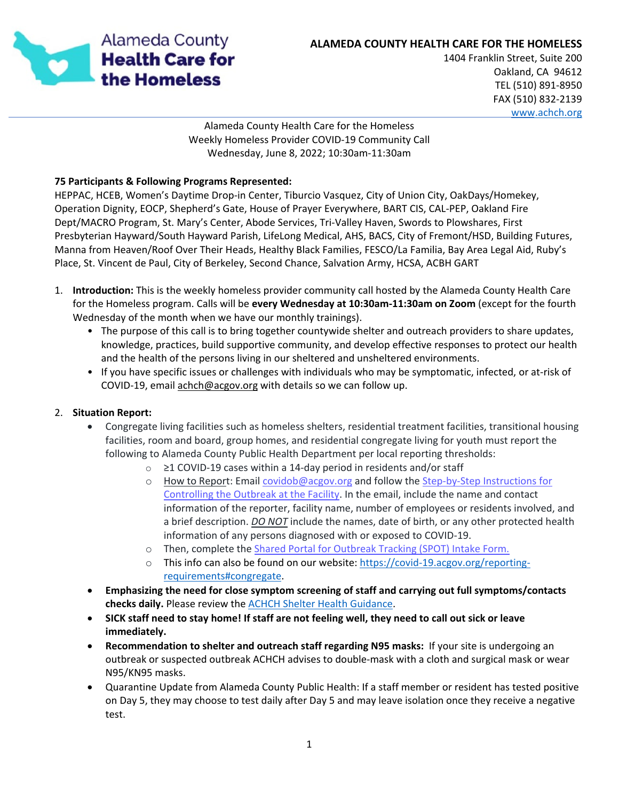

## **ALAMEDA COUNTY HEALTH CARE FOR THE HOMELESS**

1404 Franklin Street, Suite 200 Oakland, CA 94612 TEL (510) 891-8950 FAX (510) 832-2139 [www.achch.org](file://hcsa-s5/HCHP$/COVID-19%20RESPONSE%202020/Shelter%20Health/Wednesday%20Shelter%20Health%20Phone%20Call/www.achch.org)

Alameda County Health Care for the Homeless Weekly Homeless Provider COVID-19 Community Call Wednesday, June 8, 2022; 10:30am-11:30am

### **75 Participants & Following Programs Represented:**

HEPPAC, HCEB, Women's Daytime Drop-in Center, Tiburcio Vasquez, City of Union City, OakDays/Homekey, Operation Dignity, EOCP, Shepherd's Gate, House of Prayer Everywhere, BART CIS, CAL-PEP, Oakland Fire Dept/MACRO Program, St. Mary's Center, Abode Services, Tri-Valley Haven, Swords to Plowshares, First Presbyterian Hayward/South Hayward Parish, LifeLong Medical, AHS, BACS, City of Fremont/HSD, Building Futures, Manna from Heaven/Roof Over Their Heads, Healthy Black Families, FESCO/La Familia, Bay Area Legal Aid, Ruby's Place, St. Vincent de Paul, City of Berkeley, Second Chance, Salvation Army, HCSA, ACBH GART

- 1. **Introduction:** This is the weekly homeless provider community call hosted by the Alameda County Health Care for the Homeless program. Calls will be **every Wednesday at 10:30am-11:30am on Zoom** (except for the fourth Wednesday of the month when we have our monthly trainings).
	- The purpose of this call is to bring together countywide shelter and outreach providers to share updates, knowledge, practices, build supportive community, and develop effective responses to protect our health and the health of the persons living in our sheltered and unsheltered environments.
	- If you have specific issues or challenges with individuals who may be symptomatic, infected, or at-risk of COVID-19, email [achch@acgov.org](mailto:covidachch%E2%80%8B@acgov.org) with details so we can follow up.

## 2. **Situation Report:**

- Congregate living facilities such as homeless shelters, residential treatment facilities, transitional housing facilities, room and board, group homes, and residential congregate living for youth must report the following to Alameda County Public Health Department per local reporting thresholds:
	- o ≥1 COVID-19 cases within a 14-day period in residents and/or staff
	- o How to Report: Email [covidob@acgov.org](mailto:covidob@acgov.org) and follow the Step-by-Step Instructions for [Controlling the Outbreak at the Facility.](https://covid-19.acgov.org/covid19-assets/docs/healthcare-guidance/Steps%20to%20Controlling%20Outbreaks%20in%20Congregate%20Living%20Facilities-5.5.2022.pdf) In the email, include the name and contact information of the reporter, facility name, number of employees or residents involved, and a brief description. *DO NOT* include the names, date of birth, or any other protected health information of any persons diagnosed with or exposed to COVID-19.
	- o Then, complete the [Shared Portal for Outbreak Tracking \(SPOT\) Intake Form.](https://cdph.force.com/SPOT/s/IntakeForm?language=en_US)
	- o This info can also be found on our website: [https://covid-19.acgov.org/reporting](https://covid-19.acgov.org/reporting-requirements#congregate)[requirements#congregate.](https://covid-19.acgov.org/reporting-requirements#congregate)
- **Emphasizing the need for close symptom screening of staff and carrying out full symptoms/contacts checks daily.** Please review the [ACHCH Shelter Health Guidance.](https://www.achch.org/uploads/7/2/5/4/72547769/final_shelter_health_guidance_for_covid_achch_07262021.pdf)
- **SICK staff need to stay home! If staff are not feeling well, they need to call out sick or leave immediately.**
- **Recommendation to shelter and outreach staff regarding N95 masks:** If your site is undergoing an outbreak or suspected outbreak ACHCH advises to double-mask with a cloth and surgical mask or wear N95/KN95 masks.
- Quarantine Update from Alameda County Public Health: If a staff member or resident has tested positive on Day 5, they may choose to test daily after Day 5 and may leave isolation once they receive a negative test.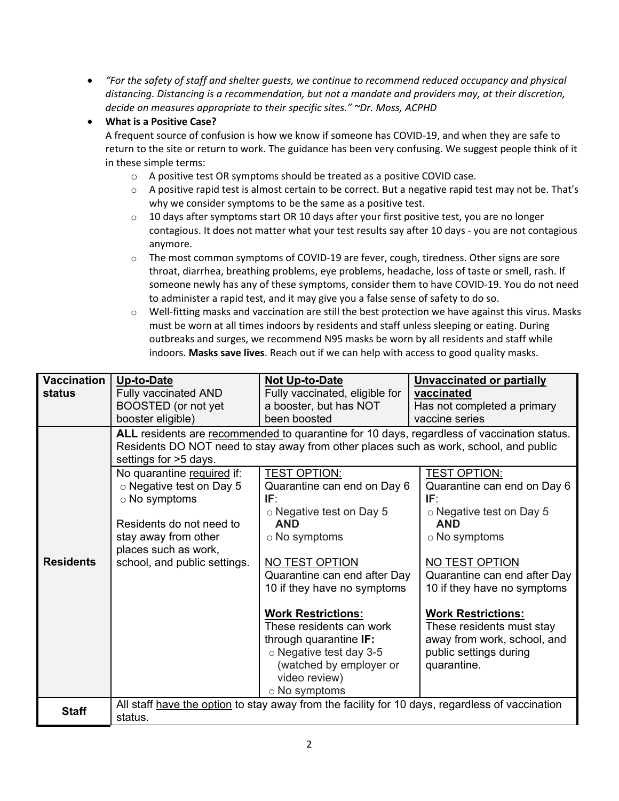• *"For the safety of staff and shelter guests, we continue to recommend reduced occupancy and physical distancing. Distancing is a recommendation, but not a mandate and providers may, at their discretion, decide on measures appropriate to their specific sites." ~Dr. Moss, ACPHD*

# • **What is a Positive Case?**

A frequent source of confusion is how we know if someone has COVID-19, and when they are safe to return to the site or return to work. The guidance has been very confusing. We suggest people think of it in these simple terms:

- o A positive test OR symptoms should be treated as a positive COVID case.
- $\circ$  A positive rapid test is almost certain to be correct. But a negative rapid test may not be. That's why we consider symptoms to be the same as a positive test.
- $\circ$  10 days after symptoms start OR 10 days after your first positive test, you are no longer contagious. It does not matter what your test results say after 10 days - you are not contagious anymore.
- $\circ$  The most common symptoms of COVID-19 are fever, cough, tiredness. Other signs are sore throat, diarrhea, breathing problems, eye problems, headache, loss of taste or smell, rash. If someone newly has any of these symptoms, consider them to have COVID-19. You do not need to administer a rapid test, and it may give you a false sense of safety to do so.
- o Well-fitting masks and vaccination are still the best protection we have against this virus. Masks must be worn at all times indoors by residents and staff unless sleeping or eating. During outbreaks and surges, we recommend N95 masks be worn by all residents and staff while indoors. **Masks save lives**. Reach out if we can help with access to good quality masks.

| <b>Vaccination</b> | <b>Up-to-Date</b>                                                                                                                                                                                            | Not Up-to-Date                                                                                                                                                                | <b>Unvaccinated or partially</b>                                                                                               |  |
|--------------------|--------------------------------------------------------------------------------------------------------------------------------------------------------------------------------------------------------------|-------------------------------------------------------------------------------------------------------------------------------------------------------------------------------|--------------------------------------------------------------------------------------------------------------------------------|--|
| status             | <b>Fully vaccinated AND</b>                                                                                                                                                                                  | Fully vaccinated, eligible for                                                                                                                                                | vaccinated                                                                                                                     |  |
|                    | BOOSTED (or not yet                                                                                                                                                                                          | a booster, but has NOT                                                                                                                                                        | Has not completed a primary                                                                                                    |  |
|                    | booster eligible)                                                                                                                                                                                            | been boosted                                                                                                                                                                  | vaccine series                                                                                                                 |  |
|                    | ALL residents are recommended to quarantine for 10 days, regardless of vaccination status.<br>Residents DO NOT need to stay away from other places such as work, school, and public<br>settings for >5 days. |                                                                                                                                                                               |                                                                                                                                |  |
|                    | No quarantine required if:<br>$\circ$ Negative test on Day 5<br>$\circ$ No symptoms                                                                                                                          | <b>TEST OPTION:</b><br>Quarantine can end on Day 6<br>IF:<br>$\circ$ Negative test on Day 5                                                                                   | <b>TEST OPTION:</b><br>Quarantine can end on Day 6<br>IF:<br>$\circ$ Negative test on Day 5                                    |  |
|                    | Residents do not need to<br>stay away from other<br>places such as work,                                                                                                                                     | <b>AND</b><br>$\circ$ No symptoms                                                                                                                                             | <b>AND</b><br>$\circ$ No symptoms                                                                                              |  |
| <b>Residents</b>   | school, and public settings.                                                                                                                                                                                 | NO TEST OPTION<br>Quarantine can end after Day<br>10 if they have no symptoms                                                                                                 | NO TEST OPTION<br>Quarantine can end after Day<br>10 if they have no symptoms                                                  |  |
|                    |                                                                                                                                                                                                              | <b>Work Restrictions:</b><br>These residents can work<br>through quarantine IF:<br>o Negative test day 3-5<br>(watched by employer or<br>video review)<br>$\circ$ No symptoms | <b>Work Restrictions:</b><br>These residents must stay<br>away from work, school, and<br>public settings during<br>quarantine. |  |
| <b>Staff</b>       | All staff have the option to stay away from the facility for 10 days, regardless of vaccination<br>status.                                                                                                   |                                                                                                                                                                               |                                                                                                                                |  |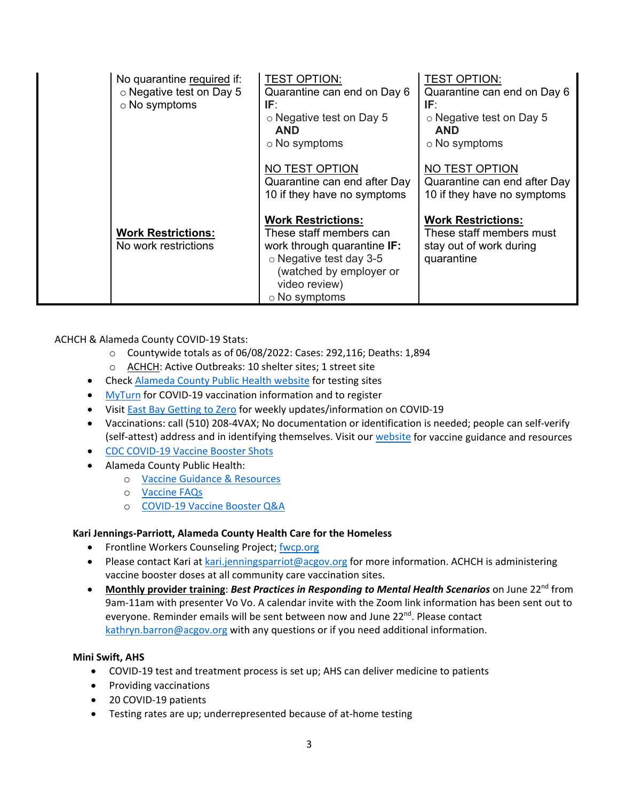| No quarantine required if:<br>o Negative test on Day 5<br>$\circ$ No symptoms | <b>TEST OPTION:</b><br>Quarantine can end on Day 6<br>IF:<br>$\circ$ Negative test on Day 5<br><b>AND</b><br>○ No symptoms                                                        | <b>TEST OPTION:</b><br>Quarantine can end on Day 6<br>IF:<br>○ Negative test on Day 5<br><b>AND</b><br>$\circ$ No symptoms |
|-------------------------------------------------------------------------------|-----------------------------------------------------------------------------------------------------------------------------------------------------------------------------------|----------------------------------------------------------------------------------------------------------------------------|
|                                                                               | NO TEST OPTION<br>Quarantine can end after Day<br>10 if they have no symptoms                                                                                                     | NO TEST OPTION<br>Quarantine can end after Day<br>10 if they have no symptoms                                              |
| <b>Work Restrictions:</b><br>No work restrictions                             | <b>Work Restrictions:</b><br>These staff members can<br>work through quarantine IF:<br>o Negative test day 3-5<br>(watched by employer or<br>video review)<br>$\circ$ No symptoms | <b>Work Restrictions:</b><br>These staff members must<br>stay out of work during<br>quarantine                             |

ACHCH & Alameda County COVID-19 Stats:

- o Countywide totals as of 06/08/2022: Cases: 292,116; Deaths: 1,894
- o ACHCH: Active Outbreaks: 10 shelter sites; 1 street site
- Chec[k Alameda County Public Health website](https://covid-19.acgov.org/testing.page) for testing sites
- [MyTurn](https://myturn.ca.gov/) for COVID-19 vaccination information and to register
- Visit [East Bay Getting to Zero](https://www.ebgtz.org/) for weekly updates/information on COVID-19
- Vaccinations: call (510) 208-4VAX; No documentation or identification is needed; people can self-verify (self-attest) address and in identifying themselves. Visit our [website](https://www.achch.org/vaccine-guidance.html) for vaccine guidance and resources
- [CDC COVID-19 Vaccine Booster Shots](https://www.cdc.gov/coronavirus/2019-ncov/vaccines/booster-shot.html)
- Alameda County Public Health:
	- o [Vaccine Guidance & Resources](https://covid-19.acgov.org/vaccines)
	- o [Vaccine FAQs](https://covid-19.acgov.org/vaccines-faq#booster)
	- o [COVID-19 Vaccine Booster Q&A](https://www.cdph.ca.gov/Programs/CID/DCDC/Pages/COVID-19/Vaccine-Booster-QA.aspx)

## **Kari Jennings-Parriott, Alameda County Health Care for the Homeless**

- Frontline Workers Counseling Project; [fwcp.org](file://HCSA-S5/HCHP$/COVID-19%20RESPONSE%202020/COVID%20COMMUNITY%20CALLS/2022%20Call%20Notes/2.%20February%20Call%20Notes%202022/fwcp.org)
- Please contact Kari at [kari.jenningsparriot@acgov.org](mailto:kari.jenningsparriot@acgov.org) for more information. ACHCH is administering vaccine booster doses at all community care vaccination sites.
- Monthly provider training: *Best Practices in Responding to Mental Health Scenarios* on June 22<sup>nd</sup> from 9am-11am with presenter Vo Vo. A calendar invite with the Zoom link information has been sent out to everyone. Reminder emails will be sent between now and June 22<sup>nd</sup>. Please contact [kathryn.barron@acgov.org](mailto:kathryn.barron@acgov.org) with any questions or if you need additional information.

## **Mini Swift, AHS**

- COVID-19 test and treatment process is set up; AHS can deliver medicine to patients
- Providing vaccinations
- 20 COVID-19 patients
- Testing rates are up; underrepresented because of at-home testing